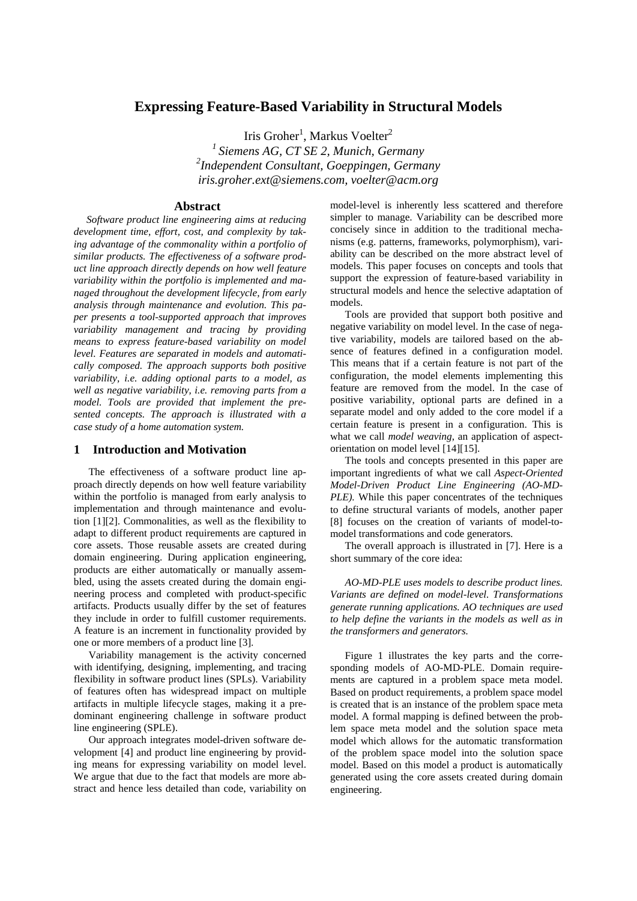# **Expressing Feature-Based Variability in Structural Models**

Iris Groher<sup>1</sup>, Markus Voelter<sup>2</sup> *1 Siemens AG, CT SE 2, Munich, Germany 2 Independent Consultant, Goeppingen, Germany iris.groher.ext@siemens.com, voelter@acm.org* 

## **Abstract**

*Software product line engineering aims at reducing development time, effort, cost, and complexity by taking advantage of the commonality within a portfolio of similar products. The effectiveness of a software product line approach directly depends on how well feature variability within the portfolio is implemented and managed throughout the development lifecycle, from early analysis through maintenance and evolution. This paper presents a tool-supported approach that improves variability management and tracing by providing means to express feature-based variability on model level. Features are separated in models and automatically composed. The approach supports both positive variability, i.e. adding optional parts to a model, as well as negative variability, i.e. removing parts from a model. Tools are provided that implement the presented concepts. The approach is illustrated with a case study of a home automation system.* 

## **1 Introduction and Motivation**

The effectiveness of a software product line approach directly depends on how well feature variability within the portfolio is managed from early analysis to implementation and through maintenance and evolution [1][2]. Commonalities, as well as the flexibility to adapt to different product requirements are captured in core assets. Those reusable assets are created during domain engineering. During application engineering, products are either automatically or manually assembled, using the assets created during the domain engineering process and completed with product-specific artifacts. Products usually differ by the set of features they include in order to fulfill customer requirements. A feature is an increment in functionality provided by one or more members of a product line [3].

Variability management is the activity concerned with identifying, designing, implementing, and tracing flexibility in software product lines (SPLs). Variability of features often has widespread impact on multiple artifacts in multiple lifecycle stages, making it a predominant engineering challenge in software product line engineering (SPLE).

Our approach integrates model-driven software development [4] and product line engineering by providing means for expressing variability on model level. We argue that due to the fact that models are more abstract and hence less detailed than code, variability on model-level is inherently less scattered and therefore simpler to manage. Variability can be described more concisely since in addition to the traditional mechanisms (e.g. patterns, frameworks, polymorphism), variability can be described on the more abstract level of models. This paper focuses on concepts and tools that support the expression of feature-based variability in structural models and hence the selective adaptation of models.

Tools are provided that support both positive and negative variability on model level. In the case of negative variability, models are tailored based on the absence of features defined in a configuration model. This means that if a certain feature is not part of the configuration, the model elements implementing this feature are removed from the model. In the case of positive variability, optional parts are defined in a separate model and only added to the core model if a certain feature is present in a configuration. This is what we call *model weaving*, an application of aspectorientation on model level [14][15].

The tools and concepts presented in this paper are important ingredients of what we call *Aspect-Oriented Model-Driven Product Line Engineering (AO-MD-PLE).* While this paper concentrates of the techniques to define structural variants of models, another paper [8] focuses on the creation of variants of model-tomodel transformations and code generators.

The overall approach is illustrated in [7]. Here is a short summary of the core idea:

*AO-MD-PLE uses models to describe product lines. Variants are defined on model-level. Transformations generate running applications. AO techniques are used to help define the variants in the models as well as in the transformers and generators.* 

Figure 1 illustrates the key parts and the corresponding models of AO-MD-PLE. Domain requirements are captured in a problem space meta model. Based on product requirements, a problem space model is created that is an instance of the problem space meta model. A formal mapping is defined between the problem space meta model and the solution space meta model which allows for the automatic transformation of the problem space model into the solution space model. Based on this model a product is automatically generated using the core assets created during domain engineering.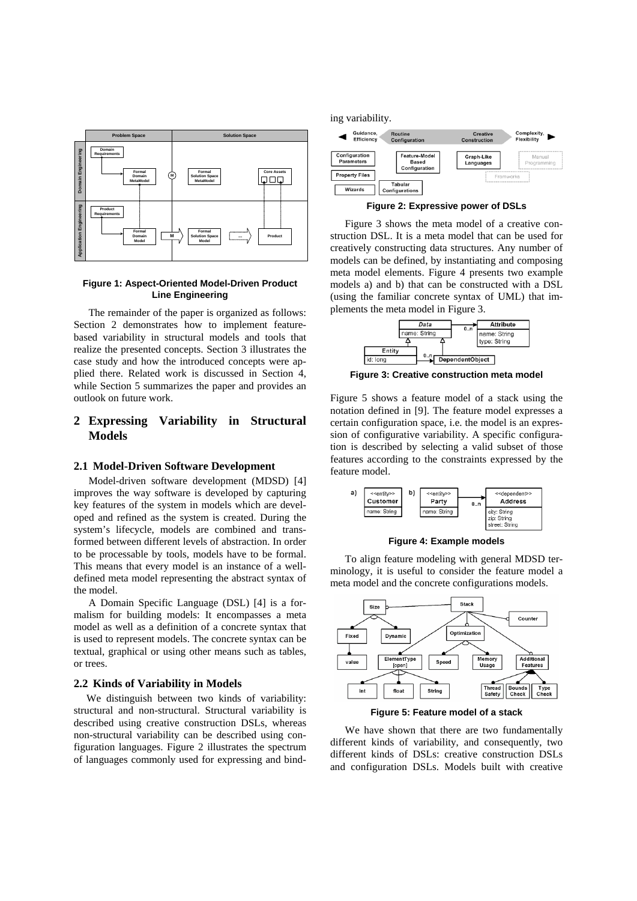

#### **Figure 1: Aspect-Oriented Model-Driven Product Line Engineering**

The remainder of the paper is organized as follows: Section 2 demonstrates how to implement featurebased variability in structural models and tools that realize the presented concepts. Section 3 illustrates the case study and how the introduced concepts were applied there. Related work is discussed in Section 4, while Section 5 summarizes the paper and provides an outlook on future work.

# **2 Expressing Variability in Structural Models**

### **2.1 Model-Driven Software Development**

Model-driven software development (MDSD) [4] improves the way software is developed by capturing key features of the system in models which are developed and refined as the system is created. During the system's lifecycle, models are combined and transformed between different levels of abstraction. In order to be processable by tools, models have to be formal. This means that every model is an instance of a welldefined meta model representing the abstract syntax of the model.

A Domain Specific Language (DSL) [4] is a formalism for building models: It encompasses a meta model as well as a definition of a concrete syntax that is used to represent models. The concrete syntax can be textual, graphical or using other means such as tables, or trees.

#### **2.2 Kinds of Variability in Models**

We distinguish between two kinds of variability: structural and non-structural. Structural variability is described using creative construction DSLs, whereas non-structural variability can be described using configuration languages. Figure 2 illustrates the spectrum of languages commonly used for expressing and binding variability.



**Figure 2: Expressive power of DSLs** 

Figure 3 shows the meta model of a creative construction DSL. It is a meta model that can be used for creatively constructing data structures. Any number of models can be defined, by instantiating and composing meta model elements. Figure 4 presents two example models a) and b) that can be constructed with a DSL (using the familiar concrete syntax of UML) that implements the meta model in Figure 3.



**Figure 3: Creative construction meta model** 

Figure 5 shows a feature model of a stack using the notation defined in [9]. The feature model expresses a certain configuration space, i.e. the model is an expression of configurative variability. A specific configuration is described by selecting a valid subset of those features according to the constraints expressed by the feature model.



**Figure 4: Example models** 

To align feature modeling with general MDSD terminology, it is useful to consider the feature model a meta model and the concrete configurations models.



**Figure 5: Feature model of a stack** 

We have shown that there are two fundamentally different kinds of variability, and consequently, two different kinds of DSLs: creative construction DSLs and configuration DSLs. Models built with creative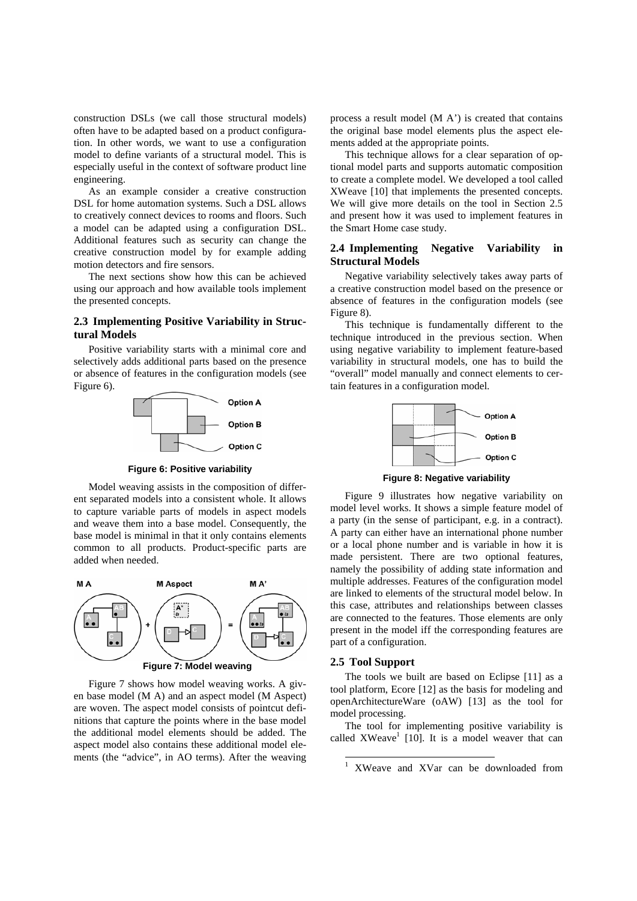construction DSLs (we call those structural models) often have to be adapted based on a product configuration. In other words, we want to use a configuration model to define variants of a structural model. This is especially useful in the context of software product line engineering.

As an example consider a creative construction DSL for home automation systems. Such a DSL allows to creatively connect devices to rooms and floors. Such a model can be adapted using a configuration DSL. Additional features such as security can change the creative construction model by for example adding motion detectors and fire sensors.

The next sections show how this can be achieved using our approach and how available tools implement the presented concepts.

# **2.3 Implementing Positive Variability in Structural Models**

Positive variability starts with a minimal core and selectively adds additional parts based on the presence or absence of features in the configuration models (see Figure 6).



**Figure 6: Positive variability** 

Model weaving assists in the composition of different separated models into a consistent whole. It allows to capture variable parts of models in aspect models and weave them into a base model. Consequently, the base model is minimal in that it only contains elements common to all products. Product-specific parts are added when needed.



Figure 7 shows how model weaving works. A given base model (M A) and an aspect model (M Aspect) are woven. The aspect model consists of pointcut definitions that capture the points where in the base model the additional model elements should be added. The aspect model also contains these additional model elements (the "advice", in AO terms). After the weaving process a result model (M A') is created that contains the original base model elements plus the aspect elements added at the appropriate points.

This technique allows for a clear separation of optional model parts and supports automatic composition to create a complete model. We developed a tool called XWeave [10] that implements the presented concepts. We will give more details on the tool in Section 2.5 and present how it was used to implement features in the Smart Home case study.

### **2.4 Implementing Negative Variability in Structural Models**

Negative variability selectively takes away parts of a creative construction model based on the presence or absence of features in the configuration models (see Figure 8).

This technique is fundamentally different to the technique introduced in the previous section. When using negative variability to implement feature-based variability in structural models, one has to build the "overall" model manually and connect elements to certain features in a configuration model.



**Figure 8: Negative variability** 

Figure 9 illustrates how negative variability on model level works. It shows a simple feature model of a party (in the sense of participant, e.g. in a contract). A party can either have an international phone number or a local phone number and is variable in how it is made persistent. There are two optional features, namely the possibility of adding state information and multiple addresses. Features of the configuration model are linked to elements of the structural model below. In this case, attributes and relationships between classes are connected to the features. Those elements are only present in the model iff the corresponding features are part of a configuration.

#### **2.5 Tool Support**

1 1

The tools we built are based on Eclipse [11] as a tool platform, Ecore [12] as the basis for modeling and openArchitectureWare (oAW) [13] as the tool for model processing.

The tool for implementing positive variability is called  $XWeave<sup>1</sup>$  [10]. It is a model weaver that can

XWeave and XVar can be downloaded from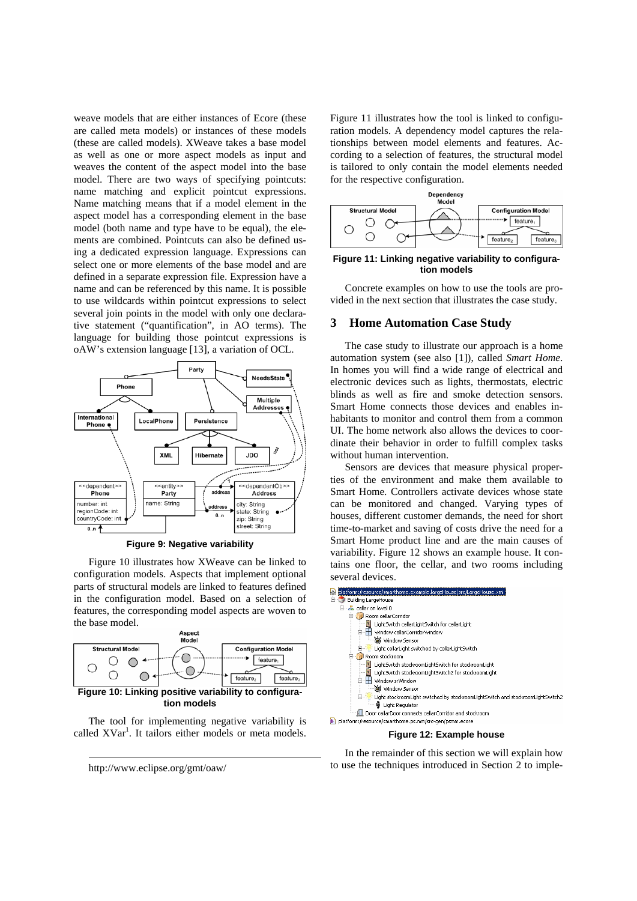weave models that are either instances of Ecore (these are called meta models) or instances of these models (these are called models). XWeave takes a base model as well as one or more aspect models as input and weaves the content of the aspect model into the base model. There are two ways of specifying pointcuts: name matching and explicit pointcut expressions. Name matching means that if a model element in the aspect model has a corresponding element in the base model (both name and type have to be equal), the elements are combined. Pointcuts can also be defined using a dedicated expression language. Expressions can select one or more elements of the base model and are defined in a separate expression file. Expression have a name and can be referenced by this name. It is possible to use wildcards within pointcut expressions to select several join points in the model with only one declarative statement ("quantification", in AO terms). The language for building those pointcut expressions is oAW's extension language [13], a variation of OCL.



**Figure 9: Negative variability** 

Figure 10 illustrates how XWeave can be linked to configuration models. Aspects that implement optional parts of structural models are linked to features defined in the configuration model. Based on a selection of features, the corresponding model aspects are woven to the base model.



The tool for implementing negative variability is called XVar<sup>1</sup>. It tailors either models or meta models.

http://www.eclipse.org/gmt/oaw/

l

Figure 11 illustrates how the tool is linked to configuration models. A dependency model captures the relationships between model elements and features. According to a selection of features, the structural model is tailored to only contain the model elements needed for the respective configuration.



**Figure 11: Linking negative variability to configuration models** 

Concrete examples on how to use the tools are provided in the next section that illustrates the case study.

#### **3 Home Automation Case Study**

The case study to illustrate our approach is a home automation system (see also [1]), called *Smart Home*. In homes you will find a wide range of electrical and electronic devices such as lights, thermostats, electric blinds as well as fire and smoke detection sensors. Smart Home connects those devices and enables inhabitants to monitor and control them from a common UI. The home network also allows the devices to coordinate their behavior in order to fulfill complex tasks without human intervention.

Sensors are devices that measure physical properties of the environment and make them available to Smart Home. Controllers activate devices whose state can be monitored and changed. Varying types of houses, different customer demands, the need for short time-to-market and saving of costs drive the need for a Smart Home product line and are the main causes of variability. Figure 12 shows an example house. It contains one floor, the cellar, and two rooms including several devices.

| platform:/resource/smarthome.example.largeHouse/src/LargeHouse.xmi                                 |
|----------------------------------------------------------------------------------------------------|
| <b>E</b> Building LargeHouse                                                                       |
| 白 & cellar on level 0                                                                              |
| Room cellar Corridor                                                                               |
| LightSwitch cellarLightSwitch for cellarLight                                                      |
| □ H Window cellarCorridorWindow                                                                    |
| window Sensor                                                                                      |
| Light cellarLight switched by cellarLightSwitch                                                    |
| Room stockroom                                                                                     |
| LightSwitch stockroomLightSwitch for stockroomLight<br><b>BR</b>                                   |
| LightSwitch stockroomLightSwitch2 for stockroomLight                                               |
| 白十 Window srWindow                                                                                 |
| window Sensor                                                                                      |
| 白一 <mark>章:Lig</mark> ht stockroomLight switched by stockroomLightSwitch and stockroomLightSwitch2 |
| └─ ♥ Light Regulator                                                                               |
| Door cellarDoor connects cellarCorridor and stockroom                                              |
| all platform (resource/smarthome ns mm/src-gen/nsmm ecore                                          |

**Figure 12: Example house** 

In the remainder of this section we will explain how to use the techniques introduced in Section 2 to imple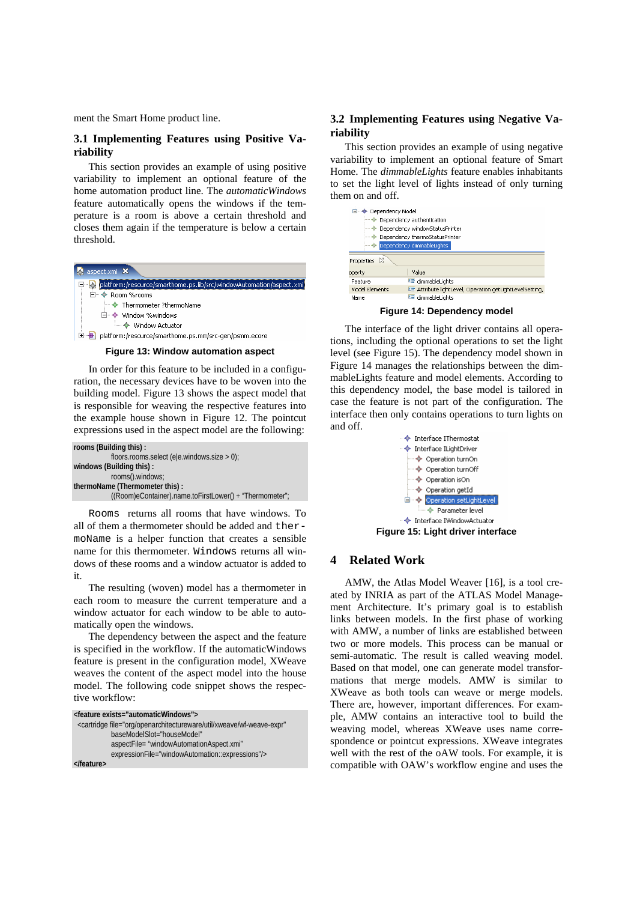ment the Smart Home product line.

# **3.1 Implementing Features using Positive Variability**

This section provides an example of using positive variability to implement an optional feature of the home automation product line. The *automaticWindows*  feature automatically opens the windows if the temperature is a room is above a certain threshold and closes them again if the temperature is below a certain threshold.



**Figure 13: Window automation aspect** 

In order for this feature to be included in a configuration, the necessary devices have to be woven into the building model. Figure 13 shows the aspect model that is responsible for weaving the respective features into the example house shown in Figure 12. The pointcut expressions used in the aspect model are the following:

```
rooms (Building this) : 
             floors.rooms.select (e|e.windows.size > 0); 
windows (Building this) : 
            rooms().windows; 
thermoName (Thermometer this) : 
             ((Room)eContainer).name.toFirstLower() + "Thermometer";
```
Rooms returns all rooms that have windows. To all of them a thermometer should be added and thermoName is a helper function that creates a sensible name for this thermometer. Windows returns all windows of these rooms and a window actuator is added to it.

The resulting (woven) model has a thermometer in each room to measure the current temperature and a window actuator for each window to be able to automatically open the windows.

The dependency between the aspect and the feature is specified in the workflow. If the automaticWindows feature is present in the configuration model, XWeave weaves the content of the aspect model into the house model. The following code snippet shows the respective workflow:

```
<feature exists="automaticWindows">
 <cartridge file="org/openarchitectureware/util/xweave/wf-weave-expr"
            baseModelSlot="houseModel" 
            aspectFile= "windowAutomationAspect.xmi" 
            expressionFile="windowAutomation::expressions"/> 
</feature>
```
# **3.2 Implementing Features using Negative Variability**

This section provides an example of using negative variability to implement an optional feature of Smart Home. The *dimmableLights* feature enables inhabitants to set the light level of lights instead of only turning them on and off.

| <b>E</b> . $\triangle$ Dependency Model |                                                         |  |
|-----------------------------------------|---------------------------------------------------------|--|
| ← Dependency authentication             |                                                         |  |
| Dependency windowStatusPrinter          |                                                         |  |
|                                         | Dependency thermoStatusPrinter                          |  |
|                                         | Dependency dimmableLights                               |  |
| Properties 23                           |                                                         |  |
| operty                                  | Value                                                   |  |
| Feature                                 | LE dimmableLights                                       |  |
| Model Elements                          | E Attribute lightLevel, Operation getLightLevelSetting, |  |
| Name                                    | LE dimmableLights                                       |  |
|                                         | Eigura 14: Danandanay madal                             |  |

**Figure 14: Dependency model** 

The interface of the light driver contains all operations, including the optional operations to set the light level (see Figure 15). The dependency model shown in Figure 14 manages the relationships between the dimmableLights feature and model elements. According to this dependency model, the base model is tailored in case the feature is not part of the configuration. The interface then only contains operations to turn lights on and off.



# **4 Related Work**

AMW, the Atlas Model Weaver [16], is a tool created by INRIA as part of the ATLAS Model Management Architecture. It's primary goal is to establish links between models. In the first phase of working with AMW, a number of links are established between two or more models. This process can be manual or semi-automatic. The result is called weaving model. Based on that model, one can generate model transformations that merge models. AMW is similar to XWeave as both tools can weave or merge models. There are, however, important differences. For example, AMW contains an interactive tool to build the weaving model, whereas XWeave uses name correspondence or pointcut expressions. XWeave integrates well with the rest of the oAW tools. For example, it is compatible with OAW's workflow engine and uses the